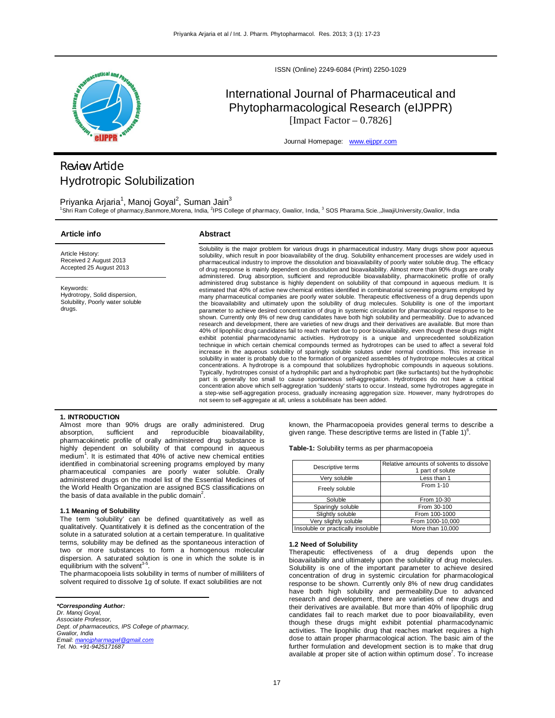

ISSN (Online) 2249-6084 (Print) 2250-1029

# International Journal of Pharmaceutical and Phytopharmacological Research (eIJPPR) [Impact Factor  $-0.7826$ ]

Journal Homepage: www.eijppr.com

# *Review Article* Hydrotropic Solubilization

Priyanka Arjaria<sup>1</sup>, Manoj Goyal<sup>2</sup>, Suman Jain<sup>3</sup> <sup>1</sup>Shri Ram College of pharmacy,Banmore,Morena, India, <sup>2</sup>IPS College of pharmacy, Gwalior, India, <sup>3</sup> SOS Pharama.Scie.,JiwajiUniversity,Gwalior, India

## **Article info**

# **Abstract**

Article History: Received 2 August 2013 Accepted 25 August 2013

Keywords: Hydrotropy, Solid dispersion, Solubility, Poorly water soluble drugs.

Solubility is the major problem for various drugs in pharmaceutical industry. Many drugs show poor aqueous solubility, which result in poor bioavailability of the drug. Solubility enhancement processes are widely used in pharmaceutical industry to improve the dissolution and bioavailability of poorly water soluble drug. The efficacy of drug response is mainly dependent on dissolution and bioavailability. Almost more than 90% drugs are orally administered. Drug absorption, sufficient and reproducible bioavailability, pharmacokinetic profile of orally administered drug substance is highly dependent on solubility of that compound in aqueous medium. It is estimated that 40% of active new chemical entities identified in combinatorial screening programs employed by many pharmaceutical companies are poorly water soluble. Therapeutic effectiveness of a drug depends upon the bioavailability and ultimately upon the solubility of drug molecules. Solubility is one of the important parameter to achieve desired concentration of drug in systemic circulation for pharmacological response to be shown. Currently only 8% of new drug candidates have both high solubility and permeability. Due to advanced research and development, there are varieties of new drugs and their derivatives are available. But more than 40% of lipophilic drug candidates fail to reach market due to poor bioavailability, even though these drugs might exhibit potential pharmacodynamic activities. Hydrotropy is a unique and unprecedented solubilization technique in which certain chemical compounds termed as hydrotropes can be used to affect a several fold increase in the aqueous solubility of sparingly soluble solutes under normal conditions. This increase in solubility in water is probably due to the formation of organized assemblies of hydrotrope molecules at critical concentrations. A hydrotrope is a compound that solubilizes hydrophobic compounds in aqueous solutions. Typically, hydrotropes consist of a hydrophilic part and a hydrophobic part (like surfactants) but the hydrophobic part is generally too small to cause spontaneous self-aggregation. Hydrotropes do not have a critical concentration above which self-aggregration 'suddenly' starts to occur. Instead, some hydrotropes aggregate in a step-wise self-aggregation process, gradually increasing aggregation size. However, many hydrotropes do not seem to self-aggregate at all, unless a solubilisate has been added.

## **1. INTRODUCTION**

Almost more than 90% drugs are orally administered. Drug<br>absorption, sufficient and reproducible bioavailability, absorption, sufficient and reproducible bioavailability, pharmacokinetic profile of orally administered drug substance is highly dependent on solubility of that compound in aqueous medium<sup>1</sup>. It is estimated that 40% of active new chemical entities identified in combinatorial screening programs employed by many pharmaceutical companies are poorly water soluble. Orally administered drugs on the model list of the Essential Medicines of the World Health Organization are assigned BCS classifications on the basis of data available in the public domain<sup>2</sup>.

# **1.1 Meaning of Solubility**

The term 'solubility' can be defined quantitatively as well as qualitatively. Quantitatively it is defined as the concentration of the solute in a saturated solution at a certain temperature. In qualitative terms, solubility may be defined as the spontaneous interaction of two or more substances to form a homogenous molecular dispersion. A saturated solution is one in which the solute is in equilibrium with the solvent<sup>3</sup> .

The pharmacopoeia lists solubility in terms of number of milliliters of solvent required to dissolve 1g of solute. If exact solubilities are not

## *\*Corresponding Author:*

*Dr. Manoj Goyal, Associate Professor, Dept. of pharmaceutics, IPS College of pharmacy, Gwalior, India Email: manojpharmagwl@gmail.com Tel. No. +91-9425171687*

known, the Pharmacopoeia provides general terms to describe a given range. These descriptive terms are listed in (Table 1) $^6$ .

**Table-1:** Solubility terms as per pharmacopoeia

| Descriptive terms                  | Relative amounts of solvents to dissolve<br>1 part of solute |  |
|------------------------------------|--------------------------------------------------------------|--|
| Verv soluble                       | Less than 1                                                  |  |
| Freely soluble                     | From 1-10                                                    |  |
| Soluble                            | From 10-30                                                   |  |
| Sparingly soluble                  | From 30-100                                                  |  |
| Slightly soluble                   | From 100-1000                                                |  |
| Very slightly soluble              | From 1000-10,000                                             |  |
| Insoluble or practically insoluble | More than 10,000                                             |  |

## **1.2 Need of Solubility**

Therapeutic effectiveness of a drug depends upon the bioavailability and ultimately upon the solubility of drug molecules. Solubility is one of the important parameter to achieve desired concentration of drug in systemic circulation for pharmacological response to be shown. Currently only 8% of new drug candidates have both high solubility and permeability.Due to advanced research and development, there are varieties of new drugs and their derivatives are available. But more than 40% of lipophilic drug candidates fail to reach market due to poor bioavailability, even though these drugs might exhibit potential pharmacodynamic activities. The lipophilic drug that reaches market requires a high dose to attain proper pharmacological action. The basic aim of the further formulation and development section is to make that drug available at proper site of action within optimum dose<sup>7</sup>. To increase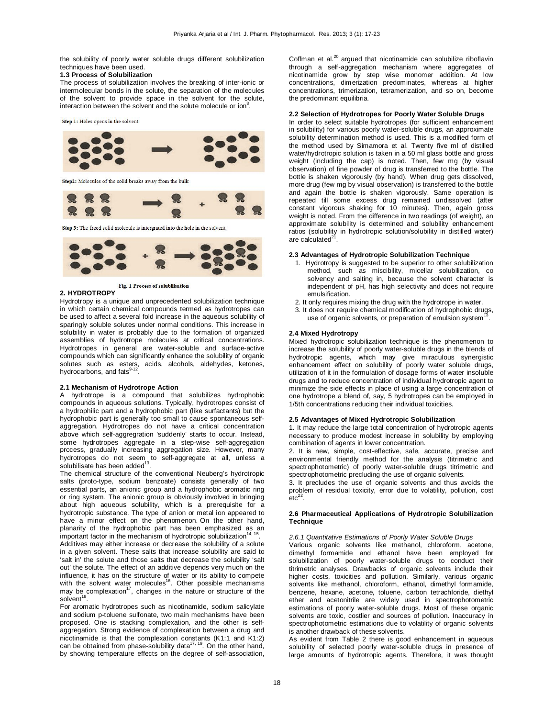the solubility of poorly water soluble drugs different solubilization techniques have been used.

# **1.3 Process of Solubilization**

The process of solubilization involves the breaking of inter-ionic or intermolecular bonds in the solute, the separation of the molecules of the solvent to provide space in the solvent for the solute, interaction between the solvent and the solute molecule or ion $^8$ .

Step 1: Holes opens in the solvent



Step2: Molecules of the solid breaks away from the bulk



Step 3: The freed solid molecule is intergrated into the hole in the solvent



Fig. 1 Process of solubilisation

# **2. HYDROTROPY**

Hydrotropy is a unique and unprecedented solubilization technique in which certain chemical compounds termed as hydrotropes can be used to affect a several fold increase in the aqueous solubility of sparingly soluble solutes under normal conditions. This increase in solubility in water is probably due to the formation of organized assemblies of hydrotrope molecules at critical concentrations. Hydrotropes in general are water-soluble and surface-active compounds which can significantly enhance the solubility of organic solutes such as esters, acids, alcohols, aldehydes, ketones,<br>hydrocarbons, and fats<sup>9-12</sup>.

# **2.1 Mechanism of Hydrotrope Action**

A hydrotrope is a compound that solubilizes hydrophobic compounds in aqueous solutions. Typically, hydrotropes consist of a hydrophilic part and a hydrophobic part (like surfactants) but the hydrophobic part is generally too small to cause spontaneous selfaggregation. Hydrotropes do not have a critical concentration above which self-aggregration 'suddenly' starts to occur. Instead, some hydrotropes aggregate in a step-wise self-aggregation process, gradually increasing aggregation size. However, many hydrotropes do not seem to self-aggregate at all, unless a solubilisate has been added $^{13}$ .

The chemical structure of the conventional Neuberg's hydrotropic salts (proto-type, sodium benzoate) consists generally of two essential parts, an anionic group and a hydrophobic aromatic ring or ring system. The anionic group is obviously involved in bringing about high aqueous solubility, which is a prerequisite for a hydrotropic substance. The type of anion or metal ion appeared to have a minor effect on the phenomenon. On the other hand, planarity of the hydrophobic part has been emphasized as an<br>important factor in the mechanism of hydrotropic solubilization<sup>14, 15</sup>.

Additives may either increase or decrease the solubility of a solute in a given solvent. These salts that increase solubility are said to 'salt in' the solute and those salts that decrease the solubility 'salt out' the solute. The effect of an additive depends very much on the influence, it has on the structure of water or its ability to compete<br>with the solvent water molecules<sup>16</sup>. Other possible mechanisms may be complexation<sup>17</sup>, changes in the nature or structure of the solvent<sup>18</sup>.

For aromatic hydrotropes such as nicotinamide, sodium salicylate and sodium p-toluene sulfonate, two main mechanisms have been proposed. One is stacking complexation, and the other is selfaggregation. Strong evidence of complexation between a drug and nicotinamide is that the complexation constants (K1:1 and K1:2)<br>can be obtained from phase-solubility data<sup>17, 19</sup>. On the other hand, by showing temperature effects on the degree of self-association, Coffman et al.<sup>20</sup> argued that nicotinamide can solubilize riboflavin through a self-aggregation mechanism where aggregates of nicotinamide grow by step wise monomer addition. At low concentrations, dimerization predominates, whereas at higher concentrations, trimerization, tetramerization, and so on, become the predominant equilibria.

## **2.2 Selection of Hydrotropes for Poorly Water Soluble Drugs**

In order to select suitable hydrotropes (for sufficient enhancement in solubility) for various poorly water-soluble drugs, an approximate solubility determination method is used. This is a modified form of the method used by Simamora et al. Twenty five ml of distilled water/hydrotropic solution is taken in a 50 ml glass bottle and gross weight (including the cap) is noted. Then, few mg (by visual observation) of fine powder of drug is transferred to the bottle. The bottle is shaken vigorously (by hand). When drug gets dissolved, more drug (few mg by visual observation) is transferred to the bottle and again the bottle is shaken vigorously. Same operation is repeated till some excess drug remained undissolved (after constant vigorous shaking for 10 minutes). Then, again gross weight is noted. From the difference in two readings (of weight), an approximate solubility is determined and solubility enhancement ratios (solubility in hydrotropic solution/solubility in distilled water) are calculated<sup>21</sup>.

### **2.3 Advantages of Hydrotropic Solubilization Technique**

- 1. Hydrotropy is suggested to be superior to other solubilization method, such as miscibility, micellar solubilization, co solvency and salting in, because the solvent character is independent of pH, has high selectivity and does not require emulsification.
- 2. It only requires mixing the drug with the hydrotrope in water.
- 3. It does not require chemical modification of hydrophobic drugs, use of organic solvents, or preparation of emulsion system<sup>1</sup> .

## **2.4 Mixed Hydrotropy**

Mixed hydrotropic solubilization technique is the phenomenon to increase the solubility of poorly water-soluble drugs in the blends of hydrotropic agents, which may give miraculous synergistic enhancement effect on solubility of poorly water soluble drugs, utilization of it in the formulation of dosage forms of water insoluble drugs and to reduce concentration of individual hydrotropic agent to minimize the side effects in place of using a large concentration of one hydrotrope a blend of, say, 5 hydrotropes can be employed in 1/5th concentrations reducing their individual toxicities.

## **2.5 Advantages of Mixed Hydrotropic Solubilization**

1. It may reduce the large total concentration of hydrotropic agents necessary to produce modest increase in solubility by employing combination of agents in lower concentration.

2. It is new, simple, cost-effective, safe, accurate, precise and environmental friendly method for the analysis (titrimetric and spectrophotometric) of poorly water-soluble drugs titrimetric and spectrophotometric precluding the use of organic solvents.

3. It precludes the use of organic solvents and thus avoids the problem of residual toxicity, error due to volatility, pollution, cost  $\rm{etc}^{\rm{22}}$ .

## **2.6 Pharmaceutical Applications of Hydrotropic Solubilization Technique**

## *2.6.1 Quantitative Estimations of Poorly Water Soluble Drugs*

Various organic solvents like methanol, chloroform, acetone, dimethyl formamide and ethanol have been employed for solubilization of poorly water-soluble drugs to conduct their titrimetric analyses. Drawbacks of organic solvents include their higher costs, toxicities and pollution. Similarly, various organic solvents like methanol, chloroform, ethanol, dimethyl formamide, benzene, hexane, acetone, toluene, carbon tetrachloride, diethyl ether and acetonitrile are widely used in spectrophotometric estimations of poorly water-soluble drugs. Most of these organic solvents are toxic, costlier and sources of pollution. Inaccuracy in spectrophotometric estimations due to volatility of organic solvents is another drawback of these solvents.

As evident from Table 2 there is good enhancement in aqueous solubility of selected poorly water-soluble drugs in presence of large amounts of hydrotropic agents. Therefore, it was thought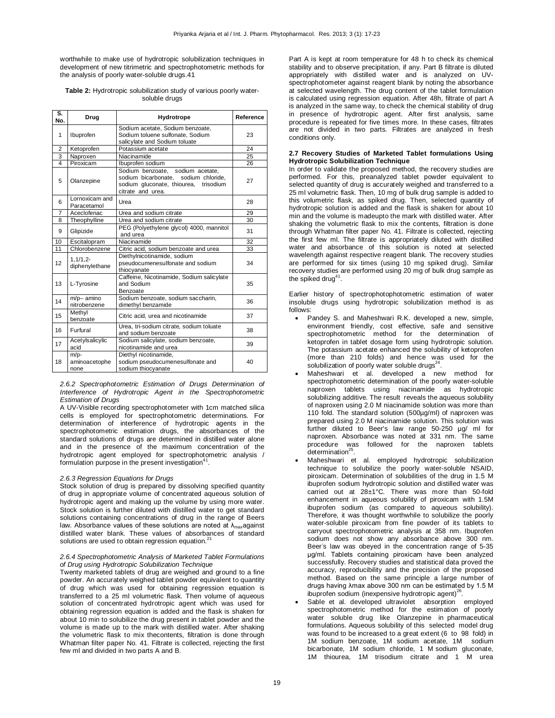worthwhile to make use of hydrotropic solubilization techniques in development of new titrimetric and spectrophotometric methods for the analysis of poorly water-soluble drugs.41

## **Table 2:** Hydrotropic solubilization study of various poorly watersoluble drugs

| S.<br>No.      | Drug                          | Hydrotrope                                                                                                                                | Reference |
|----------------|-------------------------------|-------------------------------------------------------------------------------------------------------------------------------------------|-----------|
| 1              | Ibuprofen                     | Sodium acetate, Sodium benzoate,<br>Sodium toluene sulfonate, Sodium<br>salicylate and Sodium toluate                                     | 23        |
| $\overline{2}$ | Ketoprofen                    | Potassium acetate                                                                                                                         | 24        |
| 3              | Naproxen                      | Niacinamide                                                                                                                               | 25        |
| 4              | Piroxicam                     | Ibuprofen sodium                                                                                                                          | 26        |
| 5              | Olanzepine                    | Sodium benzoate, sodium acetate,<br>sodium bicarbonate, sodium chloride,<br>sodium gluconate, thiourea,<br>trisodium<br>citrate and urea. | 27        |
| 6              | Lornoxicam and<br>Paracetamol | Urea                                                                                                                                      | 28        |
| 7              | Aceclofenac                   | Urea and sodium citrate                                                                                                                   | 29        |
| 8              | Theophylline                  | Urea and sodium citrate                                                                                                                   | 30        |
| 9              | Glipizide                     | PEG (Polyethylene glycol) 4000, mannitol<br>and urea                                                                                      | 31        |
| 10             | Escitalopram                  | Niacinamide                                                                                                                               | 32        |
| 11             | Chlorobenzene                 | Citric acid, sodium benzoate and urea                                                                                                     | 33        |
| 12             | $1.1/1.2 -$<br>diphenylethane | Diethylnicotinamide, sodium<br>pseudocumenesulfonate and sodium<br>thiocyanate                                                            | 34        |
| 13             | L-Tyrosine                    | Caffeine, Nicotinamide, Sodium salicylate<br>and Sodium<br>Benzoate                                                                       | 35        |
| 14             | m/p- amino<br>nitrobenzene    | Sodium benzoate, sodium saccharin,<br>dimethyl benzamide                                                                                  | 36        |
| 15             | Methyl<br>benzoate            | Citric acid, urea and nicotinamide                                                                                                        | 37        |
| 16             | Furfural                      | Urea, tri-sodium citrate, sodium toluate<br>and sodium benzoate                                                                           | 38        |
| 17             | Acetylsalicylic<br>acid       | Sodium salicylate, sodium benzoate,<br>nicotinamide and urea                                                                              | 39        |
| 18             | m/p-<br>aminoacetophe<br>none | Diethyl nicotinamide,<br>sodium pseudocumenesulfonate and<br>sodium thiocyanate                                                           | 40        |

## *2.6.2 Spectrophotometric Estimation of Drugs Determination of Interference of Hydrotropic Agent in the Spectrophotometric Estimation of Drugs*

A UV-Visible recording spectrophotometer with 1cm matched silica cells is employed for spectrophotometric determinations. For determination of interference of hydrotropic agents in the spectrophotometric estimation drugs, the absorbances of the standard solutions of drugs are determined in distilled water alone and in the presence of the maximum concentration of the hydrotropic agent employed for spectrophotometric analysis / formulation purpose in the present investigation<sup>41</sup>.

# *2.6.3 Regression Equations for Drugs*

Stock solution of drug is prepared by dissolving specified quantity of drug in appropriate volume of concentrated aqueous solution of hydrotropic agent and making up the volume by using more water. Stock solution is further diluted with distilled water to get standard solutions containing concentrations of drug in the range of Beers law. Absorbance values of these solutions are noted at  $\lambda_{\text{max}}$ against distilled water blank. These values of absorbances of standard solutions are used to obtain regression equation.<sup>2</sup>

## *2.6.4 Spectrophotometric Analysis of Marketed Tablet Formulations of Drug using Hydrotropic Solubilization Technique*

Twenty marketed tablets of drug are weighed and ground to a fine powder. An accurately weighed tablet powder equivalent to quantity of drug which was used for obtaining regression equation is transferred to a 25 ml volumetric flask. Then volume of aqueous solution of concentrated hydrotropic agent which was used for obtaining regression equation is added and the flask is shaken for about 10 min to solubilize the drug present in tablet powder and the volume is made up to the mark with distilled water. After shaking the volumetric flask to mix thecontents, filtration is done through Whatman filter paper No. 41. Filtrate is collected, rejecting the first few ml and divided in two parts A and B.

Part A is kept at room temperature for 48 h to check its chemical stability and to observe precipitation, if any. Part B filtrate is diluted appropriately with distilled water and is analyzed on UVspectrophotometer against reagent blank by noting the absorbance at selected wavelength. The drug content of the tablet formulation is calculated using regression equation. After 48h, filtrate of part A is analyzed in the same way, to check the chemical stability of drug in presence of hydrotropic agent. After first analysis, same procedure is repeated for five times more. In these cases, filtrates are not divided in two parts. Filtrates are analyzed in fresh conditions only.

## **2.7 Recovery Studies of Marketed Tablet formulations Using Hydrotropic Solubilization Technique**

In order to validate the proposed method, the recovery studies are performed. For this, preanalyzed tablet powder equivalent to selected quantity of drug is accurately weighed and transferred to a 25 ml volumetric flask. Then, 10 mg of bulk drug sample is added to this volumetric flask, as spiked drug. Then, selected quantity of hydrotropic solution is added and the flask is shaken for about 10 min and the volume is madeupto the mark with distilled water. After shaking the volumetric flask to mix the contents, filtration is done through Whatman filter paper No. 41. Filtrate is collected, rejecting the first few ml. The filtrate is appropriately diluted with distilled water and absorbance of this solution is noted at selected wavelength against respective reagent blank. The recovery studies are performed for six times (using 10 mg spiked drug). Similar recovery studies are performed using 20 mg of bulk drug sample as the spiked drug<sup>41</sup>.

Earlier history of spectrophotophotometric estimation of water insoluble drugs using hydrotropic solubilization method is as follows:

- Pandey S. and Maheshwari R.K. developed a new, simple, environment friendly, cost effective, safe and sensitive spectrophotometric method for the determination of ketoprofen in tablet dosage form using hydrotropic solution. The potassium acetate enhanced the solubility of ketoprofen (more than 210 folds) and hence was used for the solubilization of poorly water soluble drugs $^{24}$ .
- Maheshwari et al. developed a new method for spectrophotometric determination of the poorly water-soluble naproxen tablets using niacinamide as hydrotropic solubilizing additive. The result reveals the aqueous solubility of naproxen using 2.0 M niacinamide solution was more than 110 fold. The standard solution (500µg/ml) of naproxen was prepared using 2.0 M niacinamide solution. This solution was further diluted to Beer's law range 50-250 µg/ ml for naproxen. Absorbance was noted at 331 nm. The same procedure was followed for the naproxen tablets determination<sup>25</sup>.
- Maheshwari et al. employed hydrotropic solubilization technique to solubilize the poorly water-soluble NSAID, piroxicam. Determination of solubilities of the drug in 1.5 M ibuprofen sodium hydrotropic solution and distilled water was carried out at 28±1°C. There was more than 50-fold enhancement in aqueous solubility of piroxicam with 1.5M ibuprofen sodium (as compared to aqueous solubility). Therefore, it was thought worthwhile to solubilize the poorly water-soluble piroxicam from fine powder of its tablets to carryout spectrophotometric analysis at 358 nm. Ibuprofen sodium does not show any absorbance above 300 nm. Beer's law was obeyed in the concentration range of 5-35 μg/ml. Tablets containing piroxicam have been analyzed successfully. Recovery studies and statistical data proved the accuracy, reproducibility and the precision of the proposed method. Based on the same principle a large number of drugs having λmax above 300 nm can be estimated by 1.5 M ibuprofen sodium (inexpensive hydrotropic agent)<sup>26</sup>.
- Sable et al. developed ultraviolet absorption employed spectrophotometric method for the estimation of poorly water soluble drug like Olanzepine in pharmaceutical formulations. Aqueous solubility of this selected model drug was found to be increased to a great extent (6 to 98 fold) in 1M sodium benzoate, 1M sodium acetate, 1M sodium bicarbonate, 1M sodium chloride, 1 M sodium gluconate, 1M thiourea, 1M trisodium citrate and 1 M urea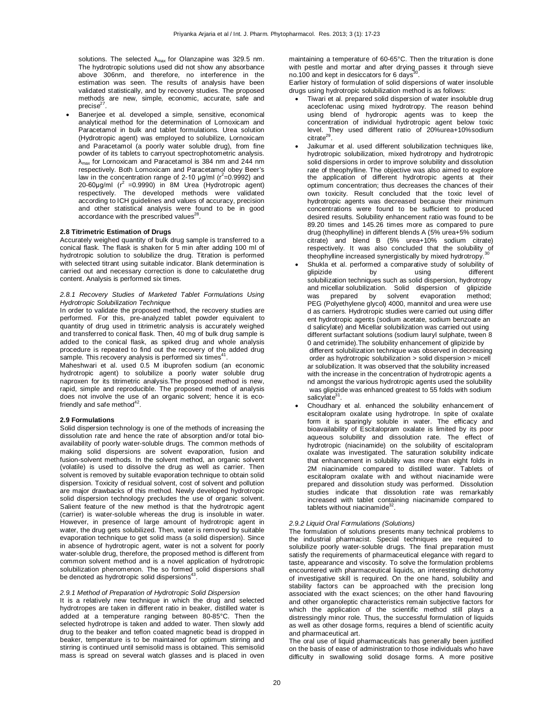solutions. The selected  $\lambda_{\text{max}}$  for Olanzapine was 329.5 nm. The hydrotropic solutions used did not show any absorbance above 306nm, and therefore, no interference in the estimation was seen. The results of analysis have been validated statistically, and by recovery studies. The proposed methods are new, simple, economic, accurate, safe and precise $^{27}$ .

 Banerjee et al. developed a simple, sensitive, economical analytical method for the determination of Lornoxicam and Paracetamol in bulk and tablet formulations. Urea solution (Hydrotropic agent) was employed to solubilize, Lornoxicam and Paracetamol (a poorly water soluble drug), from fine powder of its tablets to carryout spectrophotometric analysis.  $\lambda_{\text{max}}$  for Lornoxicam and Paracetamol is 384 nm and 244 nm respectively. Both Lornoxicam and Paracetamol obey Beer's law in the concentration range of 2-10  $\mu$ g/ml (r<sup>2</sup>=0.9992) and 20-60μg/ml  $(r^2 = 0.9990)$  in 8M Urea (Hydrotropic agent) respectively. The developed methods were validated according to ICH guidelines and values of accuracy, precision and other statistical analysis were found to be in good accordance with the prescribed values<sup>28</sup>.

## **2.8 Titrimetric Estimation of Drugs**

Accurately weighed quantity of bulk drug sample is transferred to a conical flask. The flask is shaken for 5 min after adding 100 ml of hydrotropic solution to solubilize the drug. Titration is performed with selected titrant using suitable indicator. Blank determination is carried out and necessary correction is done to calculatethe drug content. Analysis is performed six times.

# *2.8.1 Recovery Studies of Marketed Tablet Formulations Using Hydrotropic Solubilization Technique*

In order to validate the proposed method, the recovery studies are performed. For this, pre-analyzed tablet powder equivalent to quantity of drug used in titrimetric analysis is accurately weighed and transferred to conical flask. Then, 40 mg of bulk drug sample is added to the conical flask, as spiked drug and whole analysis procedure is repeated to find out the recovery of the added drug sample. This recovery analysis is performed six times<sup>4</sup> .

Maheshwari et al. used 0.5 M ibuprofen sodium (an economic hydrotropic agent) to solubilize a poorly water soluble drug naproxen for its titrimetric analysis.The proposed method is new, rapid, simple and reproducible. The proposed method of analysis does not involve the use of an organic solvent; hence it is ecofriendly and safe method $42$ .

## **2.9 Formulations**

Solid dispersion technology is one of the methods of increasing the dissolution rate and hence the rate of absorption and/or total bioavailability of poorly water-soluble drugs. The common methods of making solid dispersions are solvent evaporation, fusion and fusion-solvent methods. In the solvent method, an organic solvent (volatile) is used to dissolve the drug as well as carrier. Then solvent is removed by suitable evaporation technique to obtain solid dispersion. Toxicity of residual solvent, cost of solvent and pollution are major drawbacks of this method. Newly developed hydrotropic solid dispersion technology precludes the use of organic solvent. Salient feature of the new method is that the hydrotropic agent (carrier) is water-soluble whereas the drug is insoluble in water. However, in presence of large amount of hydrotropic agent in water, the drug gets solubilized. Then, water is removed by suitable evaporation technique to get solid mass (a solid dispersion). Since in absence of hydrotropic agent, water is not a solvent for poorly water-soluble drug, therefore, the proposed method is different from common solvent method and is a novel application of hydrotropic solubilization phenomenon. The so formed solid dispersions shall be denoted as hydrotropic solid dispersions<sup>43</sup> .

## *2.9.1 Method of Preparation of Hydrotropic Solid Dispersion*

It is a relatively new technique in which the drug and selected hydrotropes are taken in different ratio in beaker, distilled water is added at a temperature ranging between 80-85°C. Then the selected hydrotrope is taken and added to water. Then slowly add drug to the beaker and teflon coated magnetic bead is dropped in beaker, temperature is to be maintained for optimum stirring and stirring is continued until semisolid mass is obtained. This semisolid mass is spread on several watch glasses and is placed in oven maintaining a temperature of 60-65°C. Then the trituration is done with pestle and mortar and after drying passes it through sieve no.100 and kept in desiccators for 6 days $3$ .

Earlier history of formulation of solid dispersions of water insoluble drugs using hydrotropic solubilization method is as follows:

- Tiwari et al. prepared solid dispersion of water insoluble drug aceclofenac using mixed hydrotropy. The reason behind using blend of hydroropic agents was to keep the concentration of individual hydrotropic agent below toxic level. They used different ratio of 20%urea+10%sodium citrate<sup>29</sup>.
- Jaikumar et al. used different solubilization techniques like, hydrotropic solubilization, mixed hydrotropy and hydrotropic solid dispersions in order to improve solubility and dissolution rate of theophylline. The objective was also aimed to explore the application of different hydrotropic agents at their optimum concentration; thus decreases the chances of their own toxicity. Result concluded that the toxic level of hydrotropic agents was decreased because their minimum concentrations were found to be sufficient to produced desired results. Solubility enhancement ratio was found to be 89.20 times and 145.26 times more as compared to pure drug (theophylline) in different blends A (5% urea+5% sodium citrate) and blend B (5% urea+10% sodium citrate) respectively. It was also concluded that the solubility of theophylline increased synergistically by mixed hydrotropy.
- Shukla et al. performed a comparative study of solubility of glipizide by using different solubilization techniques such as solid dispersion, hydrotropy and micellar solubilization. Solid dispersion of glipizide was prepared by solvent evaporation method; PEG (Polyethylene glycol) 4000, mannitol and urea were use d as carriers. Hydrotropic studies were carried out using differ ent hydrotropic agents (sodium acetate, sodium benzoate an d salicylate) and Micellar solubilization was carried out using different surfactant solutions (sodium lauryl sulphate, tween 8 0 and cetrimide).The solubility enhancement of glipizide by different solubilization technique was observed in decreasing order as hydrotropic solubilization > solid dispersion > micell ar solubilization. It was observed that the solubility increased with the increase in the concentration of hydrotropic agents a nd amongst the various hydrotropic agents used the solubility was glipizide was enhanced greatest to 55 folds with sodium salicylate<sup>31</sup>.
- Choudhary et al. enhanced the solubility enhancement of escitalopram oxalate using hydrotrope. In spite of oxalate form it is sparingly soluble in water. The efficacy and bioavailability of Escitalopram oxalate is limited by its poor aqueous solubility and dissolution rate. The effect of hydrotropic (niacinamide) on the solubility of escitalopram oxalate was investigated. The saturation solubility indicate that enhancement in solubility was more than eight folds in 2M niacinamide compared to distilled water. Tablets of escitalopram oxalate with and without niacinamide were prepared and dissolution study was performed. Dissolution studies indicate that dissolution rate was remarkably increased with tablet containing niacinamide compared to tablets without niacinamide<sup>32</sup>.

### *2.9.2 Liquid Oral Formulations (Solutions)*

The formulation of solutions presents many technical problems to the industrial pharmacist. Special techniques are required to solubilize poorly water-soluble drugs. The final preparation must satisfy the requirements of pharmaceutical elegance with regard to taste, appearance and viscosity. To solve the formulation problems encountered with pharmaceutical liquids, an interesting dichotomy of investigative skill is required. On the one hand, solubility and stability factors can be approached with the precision long associated with the exact sciences; on the other hand flavouring and other organoleptic characteristics remain subjective factors for which the application of the scientific method still plays a distressingly minor role. Thus, the successful formulation of liquids as well as other dosage forms, requires a blend of scientific acuity and pharmaceutical art.

The oral use of liquid pharmaceuticals has generally been justified on the basis of ease of administration to those individuals who have difficulty in swallowing solid dosage forms. A more positive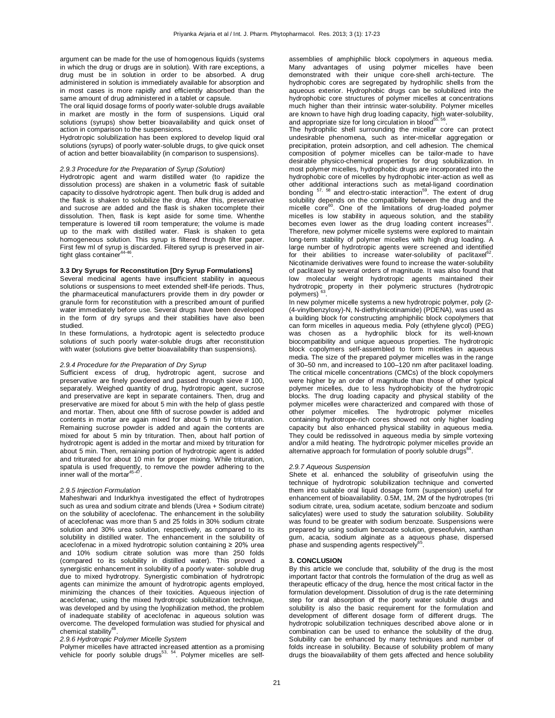argument can be made for the use of homogenous liquids (systems in which the drug or drugs are in solution). With rare exceptions, a drug must be in solution in order to be absorbed. A drug administered in solution is immediately available for absorption and in most cases is more rapidly and efficiently absorbed than the same amount of drug administered in a tablet or capsule.

The oral liquid dosage forms of poorly water-soluble drugs available in market are mostly in the form of suspensions. Liquid oral solutions (syrups) show better bioavailability and quick onset of action in comparison to the suspensions.

Hydrotropic solubilization has been explored to develop liquid oral solutions (syrups) of poorly water-soluble drugs, to give quick onset of action and better bioavailability (in comparison to suspensions).

## *2.9.3 Procedure for the Preparation of Syrup (Solution)*

Hydrotropic agent and warm distilled water (to rapidize the dissolution process) are shaken in a volumetric flask of suitable capacity to dissolve hydrotropic agent. Then bulk drug is added and the flask is shaken to solubilize the drug. After this, preservative and sucrose are added and the flask is shaken tocomplete their dissolution. Then, flask is kept aside for some time. Whenthe temperature is lowered till room temperature; the volume is made up to the mark with distilled water. Flask is shaken to geta homogeneous solution. This syrup is filtered through filter paper. First few ml of syrup is discarded. Filtered syrup is preserved in air-<br>tight glass container<sup>44-46</sup>.

## **3.3 Dry Syrups for Reconstitution [Dry Syrup Formulations]**

Several medicinal agents have insufficient stability in aqueous solutions or suspensions to meet extended shelf-life periods. Thus, the pharmaceutical manufacturers provide them in dry powder or granule form for reconstitution with a prescribed amount of purified water immediately before use. Several drugs have been developed in the form of dry syrups and their stabilities have also been studied.

In these formulations, a hydrotopic agent is selectedto produce solutions of such poorly water-soluble drugs after reconstitution with water (solutions give better bioavailability than suspensions).

# *2.9.4 Procedure for the Preparation of Dry Syrup*

Sufficient excess of drug, hydrotropic agent, sucrose and preservative are finely powdered and passed through sieve # 100, separately. Weighed quantity of drug, hydrotropic agent, sucrose and preservative are kept in separate containers. Then, drug and preservative are mixed for about 5 min with the help of glass pestle and mortar. Then, about one fifth of sucrose powder is added and contents in mortar are again mixed for about 5 min by trituration. Remaining sucrose powder is added and again the contents are mixed for about 5 min by trituration. Then, about half portion of hydrotropic agent is added in the mortar and mixed by trituration for about 5 min. Then, remaining portion of hydrotropic agent is added and triturated for about 10 min for proper mixing. While trituration, spatula is used frequently, to remove the powder adhering to the inner wall of the mortar $44$ .

### *2.9.5 Injection Formulation*

Maheshwari and Indurkhya investigated the effect of hydrotropes such as urea and sodium citrate and blends (Urea + Sodium citrate) on the solubility of aceclofenac. The enhancement in the solubility of aceclofenac was more than 5 and 25 folds in 30% sodium citrate solution and 30% urea solution, respectively, as compared to its solubility in distilled water. The enhancement in the solubility of aceclofenac in a mixed hydrotropic solution containing ≥ 20% urea and 10% sodium citrate solution was more than 250 folds (compared to its solubility in distilled water). This proved a synergistic enhancement in solubility of a poorly water- soluble drug due to mixed hydrotropy. Synergistic combination of hydrotropic agents can minimize the amount of hydrotropic agents employed, minimizing the chances of their toxicities. Aqueous injection of aceclofenac, using the mixed hydrotropic solubilization technique, was developed and by using the lyophilization method, the problem of inadequate stability of aceclofenac in aqueous solution was overcome. The developed formulation was studied for physical and chemical stability $4$ .

#### *2.9.6 Hydrotropic Polymer Micelle System*

Polymer micelles have attracted increased attention as a promising<br>vehicle for poorly soluble drugs<sup>53, 54</sup>. Polymer micelles are self-

assemblies of amphiphilic block copolymers in aqueous media. Many advantages of using polymer micelles have been demonstrated with their unique core-shell archi-tecture. The hydrophobic cores are segregated by hydrophilic shells from the aqueous exterior. Hydrophobic drugs can be solubilized into the hydrophobic core structures of polymer micelles at concentrations much higher than their intrinsic water-solubility. Polymer micelles are known to have high drug loading capacity, high water-solubility, and appropriate size for long circulation in blood $55,56$ .

The hydrophilic shell surrounding the micellar core can protect undesirable phenomena, such as inter-micellar aggregation or precipitation, protein adsorption, and cell adhesion. The chemical composition of polymer micelles can be tailor-made to have desirable physico-chemical properties for drug solubilization. In most polymer micelles, hydrophobic drugs are incorporated into the hydrophobic core of micelles by hydrophobic inter-action as well as other additional interactions such as metal-ligand coordination bonding <sup>57, 58</sup> and electro-static interaction<sup>59</sup>. The extent of drug solubility depends on the compatibility between the drug and the micelle core<sup>60</sup>. One of the limitations of drug-loaded polymer micelles is low stability in aqueous solution, and the stability becomes even lower as the drug loading content increases<sup>6</sup> . Therefore, new polymer micelle systems were explored to maintain long-term stability of polymer micelles with high drug loading. A large number of hydrotropic agents were screened and identified for their abilities to increase water-solubility of paclitaxel<sup>62</sup>. Nicotinamide derivatives were found to increase the water-solubility of paclitaxel by several orders of magnitude. It was also found that low molecular weight hydrotropic agents maintained their hydrotropic property in their polymeric structures (hydrotropic polymers) .

In new polymer micelle systems a new hydrotropic polymer, poly (2- (4-vinylbenzyloxy)-N, N-diethylnicotinamide) (PDENA), was used as a building block for constructing amphiphilic block copolymers that can form micelles in aqueous media. Poly (ethylene glycol) (PEG) was chosen as a hydrophilic block for its well-known biocompatibility and unique aqueous properties. The hydrotropic block copolymers self-assembled to form micelles in aqueous media. The size of the prepared polymer micelles was in the range of 30–50 nm, and increased to 100–120 nm after paclitaxel loading. The critical micelle concentrations (CMCs) of the block copolymers were higher by an order of magnitude than those of other typical polymer micelles, due to less hydrophobicity of the hydrotropic blocks. The drug loading capacity and physical stability of the polymer micelles were characterized and compared with those of other polymer micelles. The hydrotropic polymer micelles containing hydrotrope-rich cores showed not only higher loading capacity but also enhanced physical stability in aqueous media. They could be redissolved in aqueous media by simple vortexing and/or a mild heating. The hydrotropic polymer micelles provide an alternative approach for formulation of poorly soluble drugs<sup>64</sup>.

#### *2.9.7 Aqueous Suspension*

Shete et al. enhanced the solubility of griseofulvin using the technique of hydrotropic solubilization technique and converted them into suitable oral liquid dosage form (suspension) useful for enhancement of bioavailability. 0.5M, 1M, 2M of the hydrotropes (tri sodium citrate, urea, sodium acetate, sodium benzoate and sodium salicylates) were used to study the saturation solubility. Solubility was found to be greater with sodium benzoate. Suspensions were prepared by using sodium benzoate solution, greseofulvin, xanthan gum, acacia, sodium alginate as a aqueous phase, dispersed<br>phase and suspending agents respectively<sup>65</sup>.

## **3. CONCLUSION**

By this article we conclude that, solubility of the drug is the most important factor that controls the formulation of the drug as well as therapeutic efficacy of the drug, hence the most critical factor in the formulation development. Dissolution of drug is the rate determining step for oral absorption of the poorly water soluble drugs and solubility is also the basic requirement for the formulation and development of different dosage form of different drugs. The hydrotropic solubilization techniques described above alone or in combination can be used to enhance the solubility of the drug. Solubility can be enhanced by many techniques and number of folds increase in solubility. Because of solubility problem of many drugs the bioavailability of them gets affected and hence solubility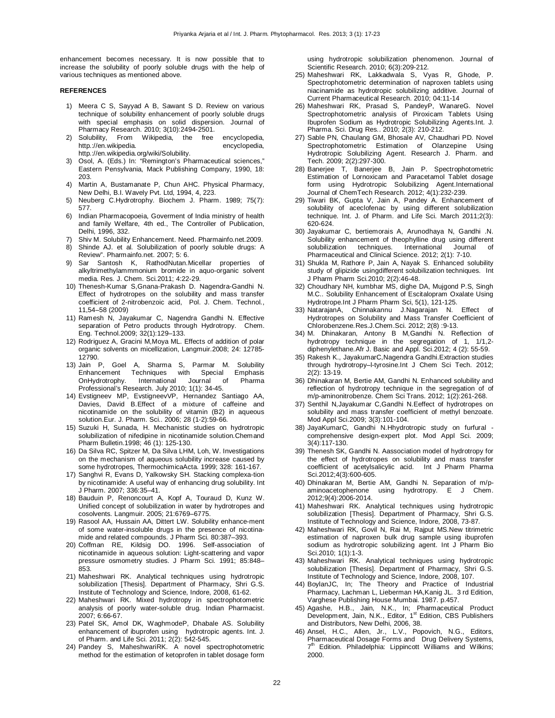enhancement becomes necessary. It is now possible that to increase the solubility of poorly soluble drugs with the help of various techniques as mentioned above.

# **REFERENCES**

- 1) Meera C S, Sayyad A B, Sawant S D. Review on various technique of solubility enhancement of poorly soluble drugs with special emphasis on solid dispersion. Journal of Pharmacy Research. 2010; 3(10):2494-2501.
- 2) Solubility, From Wikipedia, the free encyclopedia, http.://en.wikipedia. encyclopedia, http.://en.wikipedia.org/wiki/Solubility.
- 3) Osol, A. (Eds.) In: "Remington's Pharmaceutical sciences," Eastern Pensylvania, Mack Publishing Company, 1990, 18: 203.
- 4) Martin A, Bustamanate P, Chun AHC. Physical Pharmacy, New Delhi, B.I. Wavely Pvt. Ltd, 1994, 4, 223.
- 5) Neuberg C.Hydrotrophy. Biochem J. Pharm. 1989; 75(7): 577.
- 6) Indian Pharmacopoeia, Goverment of India ministry of health and family Welfare, 4th ed., The Controller of Publication, Delhi, 1996, 332.
- 7) Shiv M. Solubility Enhancement. Need. Pharmainfo.net.2009.
- 8) Shinde AJ. et al. Solubilization of poorly soluble drugs: A Review". Pharmainfo.net. 2007; 5: 6.
- Sar Santosh K, RathodNutan.Micellar properties of alkyltrimethylammmonium bromide in aquo-organic solvent media. Res. J. Chem. Sci.2011; 4:22-29.
- 10) Thenesh-Kumar S,Gnana-Prakash D. Nagendra-Gandhi N. Effect of hydrotropes on the solubility and mass transfer coefficient of 2-nitrobenzoic acid, Pol. J. Chem. Technol., 11,54–58 (2009)
- 11) Ramesh N, Jayakumar C, Nagendra Gandhi N. Effective separation of Petro products through Hydrotropy. Chem. Eng. Technol.2009; 32(1):129–133.
- 12) Rodriguez A, Gracini M,Moya ML. Effects of addition of polar organic solvents on micellization, Langmuir.2008; 24: 12785- 12790.
- 13) Jain P, Goel A, Sharma S, Parmar M. Solubility Enhancement Techniques OnHydrotrophy. International Journal of Pharma Professional's Research. July 2010; 1(1): 34-45.
- 14) Evstigneev MP, EvstigneevVP, Hernandez Santiago AA, Davies, David B.Effect of a mixture of caffeine and nicotinamide on the solubility of vitamin (B2) in aqueous solution.Eur. J. Pharm. Sci.. 2006; 28 (1-2):59-66.
- 15) Suzuki H, Sunada, H. Mechanistic studies on hydrotropic solubilization of nifedipine in nicotinamide solution.Chemand Pharm Bulletin.1998; 46 (1): 125-130.
- 16) Da Silva RC, Spitzer M, Da Silva LHM, Loh, W. Investigations on the mechanism of aqueous solubility increase caused by some hydrotropes, ThermochimicaActa. 1999; 328: 161-167.
- 17) Sanghvi R, Evans D, Yalkowsky SH. Stacking complexa-tion by nicotinamide: A useful way of enhancing drug solubility. Int J Pharm. 2007; 336:35–41.
- 18) Bauduin P, Renoncourt A, Kopf A, Touraud D, Kunz W. Unified concept of solubilization in water by hydrotropes and cosolvents. Langmuir. 2005; 21:6769–6775.
- 19) Rasool AA, Hussain AA, Dittert LW. Solubility enhance-ment of some water-insoluble drugs in the presence of nicotinamide and related compounds. J Pharm Sci. 80:387–393.
- 20) Coffman RE, Kildsig DO. 1996. Self-association of nicotinamide in aqueous solution: Light-scattering and vapor pressure osmometry studies. J Pharm Sci. 1991; 85:848– 853.
- 21) Maheshwari RK. Analytical techniques using hydrotropic solubilization [Thesis]. Department of Pharmacy, Shri G.S. Institute of Technology and Science, Indore, 2008, 61-62.
- 22) Maheshwari RK. Mixed hydrotropy in spectrophotometric analysis of poorly water-soluble drug. Indian Pharmacist. 2007; 6:66-67.
- 23) Patel SK, Amol DK, WaghmodeP, Dhabale AS. Solubility enhancement of ibuprofen using hydrotropic agents. Int. J. of Pharm. and Life Sci. 2011; 2(2): 542-545.
- 24) Pandey S, MaheshwariRK. A novel spectrophotometric method for the estimation of ketoprofen in tablet dosage form

using hydrotropic solubilization phenomenon. Journal of Scientific Research. 2010; 6(3):209-212.

- 25) Maheshwari RK, Lakkadwala S, Vyas R, Ghode, P. Spectrophotometric determination of naproxen tablets using niacinamide as hydrotropic solubilizing additive. Journal of Current Pharmaceutical Research. 2010; 04:11-14
- 26) Maheshwari RK, Prasad S, PandeyP, WanareG. Novel Spectrophotometric analysis of Piroxicam Tablets Using Ibuprofen Sodium as Hydrotropic Solubilizing Agents.Int. J. Pharma. Sci. Drug Res.. 2010; 2(3): 210-212.
- 27) Sable PN, Chaulang GM, Bhosale AV, Chaudhari PD. Novel Spectrophotometric Estimation of Olanzepine Using Hydrotropic Solubilizing Agent. Research J. Pharm. and Tech. 2009; 2(2):297-300.
- 28) Banerjee T, Banerjee B, Jain P. Spectrophotometric Estimation of Lornoxicam and Paracetamol Tablet dosage form using Hydrotropic Solubilizing Agent.International Journal of ChemTech Research. 2012; 4(1):232-239.
- 29) Tiwari BK, Gupta V, Jain A, Pandey A. Enhancement of solubility of aceclofenac by using different solubilization technique. Int. J. of Pharm. and Life Sci. March 2011;2(3): 620-624.
- 30) Jayakumar C, bertiemorais A, Arunodhaya N, Gandhi .N. Solubility enhancement of theophylline drug using different<br>solubilization techniques International Journal of techniques. International Journal of Pharmaceutical and Clinical Science. 2012; 2(1): 7-10.
- 31) Shukla M, Rathore P, Jain A, Nayak S. Enhanced solubility study of glipizide usingdifferent solubilization techniques. Int J Pharm Pharm Sci.2010; 2(2):46-48.
- 32) Choudhary NH, kumbhar MS, dighe DA, Mujgond P.S, Singh M.C.. Solubility Enhancement of Escitalopram Oxalate Using Hydrotrope.Int J Pharm Pharm Sci, 5(1), 121-125.
- 33) NatarajanA, Chinnakannu J.Nagarajan N. Effect of Hydrotropes on Solubility and Mass Transfer Coefficient of Chlorobenzene.Res.J.Chem.Sci. 2012; 2(8) :9-13.
- 34) M. Dhinakaran, Antony B M,Gandhi N. Reflection of hydrotropy technique in the segregation of 1, 1/1,2 diphenylethane.Afr J. Basic and Appl. Sci.2012; 4 (2): 55-59.
- 35) Rakesh K., JayakumarC,Nagendra Gandhi.Extraction studies through hydrotropy–l-tyrosine.Int J Chem Sci Tech. 2012; 2(2): 13-19.
- 36) Dhinakaran M, Bertie AM, Gandhi N. Enhanced solubility and reflection of hydrotropy technique in the segregation of of m/p-aminonitrobenze. Chem Sci Trans. 2012; 1(2):261-268.
- 37) Senthil N,Jayakumar C,Gandhi N.Eeffect of hydrotropes on solubility and mass transfer coefficient of methyl benzoate. Mod Appl Sci.2009; 3(3):101-104.
- 38) JayaKumarC, Gandhi N.Hhydrotropic study on furfural comprehensive design-expert plot. Mod Appl Sci. 2009; 3(4):117-130.
- 39) Thenesh SK, Gandhi N. Aassociation model of hydrotropy for the effect of hydrotropes on solubility and mass transfer coefficient of acetylsalicylic acid. Int J Pharm Pharma Sci.2012;4(3):600-605.
- 40) Dhinakaran M, Bertie AM, Gandhi N. Separation of m/p-<br>aminoacetophenone using hydrotropy. E J Chem. using hydrotropy. E J Chem. 2012;9(4):2006-2014.
- 41) Maheshwari RK. Analytical techniques using hydrotropic solubilization [Thesis]. Department of Pharmacy, Shri G.S. Institute of Technology and Science, Indore, 2008, 73-87.
- 42) Maheshwari RK, Govil N, Rai M, Rajput MS.New titrimetric estimation of naproxen bulk drug sample using ibuprofen sodium as hydrotropic solubilizing agent. Int J Pharm Bio Sci.2010; 1(1):1-3.
- 43) Maheshwari RK. Analytical techniques using hydrotropic solubilization [Thesis]. Department of Pharmacy, Shri G.S. Institute of Technology and Science, Indore, 2008, 107.
- 44) BoylanJC, In; The Theory and Practice of Industrial Pharmacy, Lachman L, Lieberman HA,Kanig JL. 3 rd Edition, Varghese Publishing House Mumbai. 1987. p.457.
- 45) Agashe, H.B., Jain, N.K., In; Pharmaceutical Product Development, Jain, N.K., Editor, 1<sup>st</sup> Edition, CBS Publishers and Distributors, New Delhi, 2006, 38.
- 46) Ansel, H.C., Allen, Jr., L.V., Popovich, N.G., Editors, Pharmaceutical Dosage Forms and Drug Delivery Systems, 7<sup>th</sup> Edition. Philadelphia: Lippincott Williams and Wilkins; 2000.